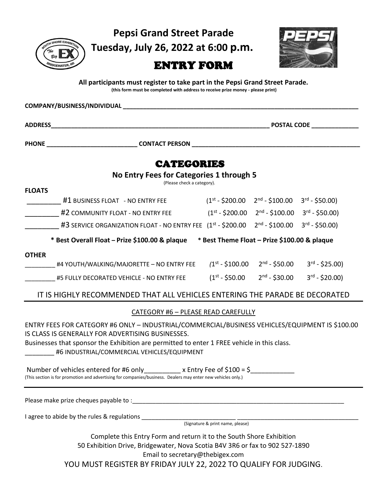$\mathcal{P}$ il

**Pepsi Grand Street Parade**

**Tuesday, July 26, 2022 at 6:00 p.m.**



## ENTRY FORM

**All participants must register to take part in the Pepsi Grand Street Parade.**

**(this form must be completed with address to receive prize money - please print)**

|                                                                                                                                                                                                                                                                                                    | <b>CATEGORIES</b>               |  |                                              |                   |  |
|----------------------------------------------------------------------------------------------------------------------------------------------------------------------------------------------------------------------------------------------------------------------------------------------------|---------------------------------|--|----------------------------------------------|-------------------|--|
| No Entry Fees for Categories 1 through 5                                                                                                                                                                                                                                                           | (Please check a category).      |  |                                              |                   |  |
| <b>FLOATS</b>                                                                                                                                                                                                                                                                                      |                                 |  |                                              |                   |  |
| #1 BUSINESS FLOAT - NO ENTRY FEE $(1^{st} - $200.00 \quad 2^{nd} - $100.00 \quad 3^{rd} - $50.00)$                                                                                                                                                                                                 |                                 |  |                                              |                   |  |
| #2 COMMUNITY FLOAT - NO ENTRY FEE $(1^{st} - $200.00 \t 2^{nd} - $100.00 \t 3^{rd} - $50.00)$                                                                                                                                                                                                      |                                 |  |                                              |                   |  |
| #3 SERVICE ORGANIZATION FLOAT - NO ENTRY FEE $(1^{st} - $200.00 \t 2^{nd} - $100.00 \t 3^{rd} - $50.00)$                                                                                                                                                                                           |                                 |  |                                              |                   |  |
| * Best Overall Float - Prize \$100.00 & plaque * Best Theme Float - Prize \$100.00 & plaque                                                                                                                                                                                                        |                                 |  |                                              |                   |  |
| <b>OTHER</b><br>#4 YOUTH/WALKING/MAJORETTE – NO ENTRY FEE $(1^{st} - 5100.00 - 2^{nd} - 550.00 - 3^{rd} - 525.00)$                                                                                                                                                                                 |                                 |  |                                              |                   |  |
|                                                                                                                                                                                                                                                                                                    |                                 |  | $(1^{st} - $50.00$ 2 <sup>nd</sup> - \$30.00 | $3^{rd} - $20.00$ |  |
| #5 FULLY DECORATED VEHICLE - NO ENTRY FEE                                                                                                                                                                                                                                                          |                                 |  |                                              |                   |  |
| IT IS HIGHLY RECOMMENDED THAT ALL VEHICLES ENTERING THE PARADE BE DECORATED                                                                                                                                                                                                                        |                                 |  |                                              |                   |  |
| <b>CATEGORY #6 - PLEASE READ CAREFULLY</b>                                                                                                                                                                                                                                                         |                                 |  |                                              |                   |  |
| ENTRY FEES FOR CATEGORY #6 ONLY - INDUSTRIAL/COMMERCIAL/BUSINESS VEHICLES/EQUIPMENT IS \$100.00<br>IS CLASS IS GENERALLY FOR ADVERTISING BUSINESSES.<br>Businesses that sponsor the Exhibition are permitted to enter 1 FREE vehicle in this class.<br>#6 INDUSTRIAL/COMMERCIAL VEHICLES/EQUIPMENT |                                 |  |                                              |                   |  |
| Number of vehicles entered for #6 only ___________ x Entry Fee of \$100 = \$__________<br>(This section is for promotion and advertising for companies/business. Dealers may enter new vehicles only.)                                                                                             |                                 |  |                                              |                   |  |
|                                                                                                                                                                                                                                                                                                    |                                 |  |                                              |                   |  |
|                                                                                                                                                                                                                                                                                                    |                                 |  |                                              |                   |  |
| Complete this Entry Form and return it to the South Shore Exhibition<br>50 Exhibition Drive, Bridgewater, Nova Scotia B4V 3R6 or fax to 902 527-1890                                                                                                                                               | Email to secretary@thebigex.com |  |                                              |                   |  |
| YOU MUST REGISTER BY FRIDAY JULY 22, 2022 TO QUALIFY FOR JUDGING.                                                                                                                                                                                                                                  |                                 |  |                                              |                   |  |